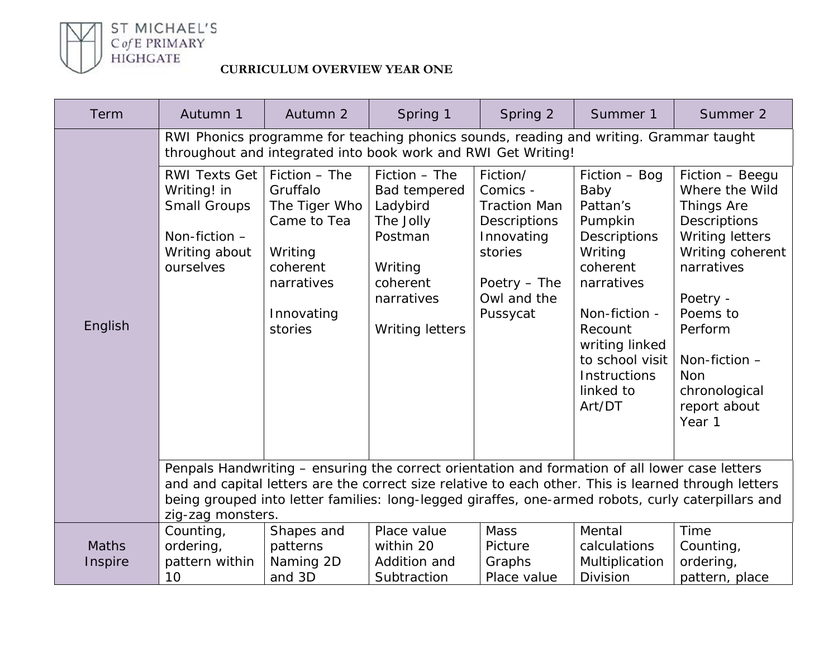

| Term                    | Autumn 1                                                                                                                                                                                                                                                                                                                          | Autumn 2                                                                                                                | Spring 1                                                                                                                         | Spring 2                                                                                                                               | Summer 1                                                                                                                                                                                                         | Summer 2                                                                                                                                                                                                                          |  |
|-------------------------|-----------------------------------------------------------------------------------------------------------------------------------------------------------------------------------------------------------------------------------------------------------------------------------------------------------------------------------|-------------------------------------------------------------------------------------------------------------------------|----------------------------------------------------------------------------------------------------------------------------------|----------------------------------------------------------------------------------------------------------------------------------------|------------------------------------------------------------------------------------------------------------------------------------------------------------------------------------------------------------------|-----------------------------------------------------------------------------------------------------------------------------------------------------------------------------------------------------------------------------------|--|
|                         | RWI Phonics programme for teaching phonics sounds, reading and writing. Grammar taught<br>throughout and integrated into book work and RWI Get Writing!                                                                                                                                                                           |                                                                                                                         |                                                                                                                                  |                                                                                                                                        |                                                                                                                                                                                                                  |                                                                                                                                                                                                                                   |  |
| English                 | <b>RWI Texts Get</b><br>Writing! in<br><b>Small Groups</b><br>Non-fiction -<br>Writing about<br>ourselves                                                                                                                                                                                                                         | Fiction - The<br>Gruffalo<br>The Tiger Who<br>Came to Tea<br>Writing<br>coherent<br>narratives<br>Innovating<br>stories | Fiction - The<br>Bad tempered<br>Ladybird<br>The Jolly<br>Postman<br>Writing<br>coherent<br>narratives<br><b>Writing letters</b> | Fiction/<br>Comics -<br><b>Traction Man</b><br><b>Descriptions</b><br>Innovating<br>stories<br>Poetry - The<br>Owl and the<br>Pussycat | Fiction - Bog<br>Baby<br>Pattan's<br>Pumpkin<br>Descriptions<br>Writing<br>coherent<br>narratives<br>Non-fiction -<br>Recount<br>writing linked<br>to school visit<br><b>Instructions</b><br>linked to<br>Art/DT | Fiction - Beegu<br>Where the Wild<br><b>Things Are</b><br>Descriptions<br>Writing letters<br>Writing coherent<br>narratives<br>Poetry -<br>Poems to<br>Perform<br>Non-fiction -<br>Non<br>chronological<br>report about<br>Year 1 |  |
|                         | Penpals Handwriting - ensuring the correct orientation and formation of all lower case letters<br>and and capital letters are the correct size relative to each other. This is learned through letters<br>being grouped into letter families: long-legged giraffes, one-armed robots, curly caterpillars and<br>zig-zag monsters. |                                                                                                                         |                                                                                                                                  |                                                                                                                                        |                                                                                                                                                                                                                  |                                                                                                                                                                                                                                   |  |
| <b>Maths</b><br>Inspire | Counting,<br>ordering,<br>pattern within<br>10                                                                                                                                                                                                                                                                                    | Shapes and<br>patterns<br>Naming 2D<br>and 3D                                                                           | Place value<br>within 20<br>Addition and<br>Subtraction                                                                          | Mass<br>Picture<br>Graphs<br>Place value                                                                                               | Mental<br>calculations<br>Multiplication<br><b>Division</b>                                                                                                                                                      | Time<br>Counting,<br>ordering,<br>pattern, place                                                                                                                                                                                  |  |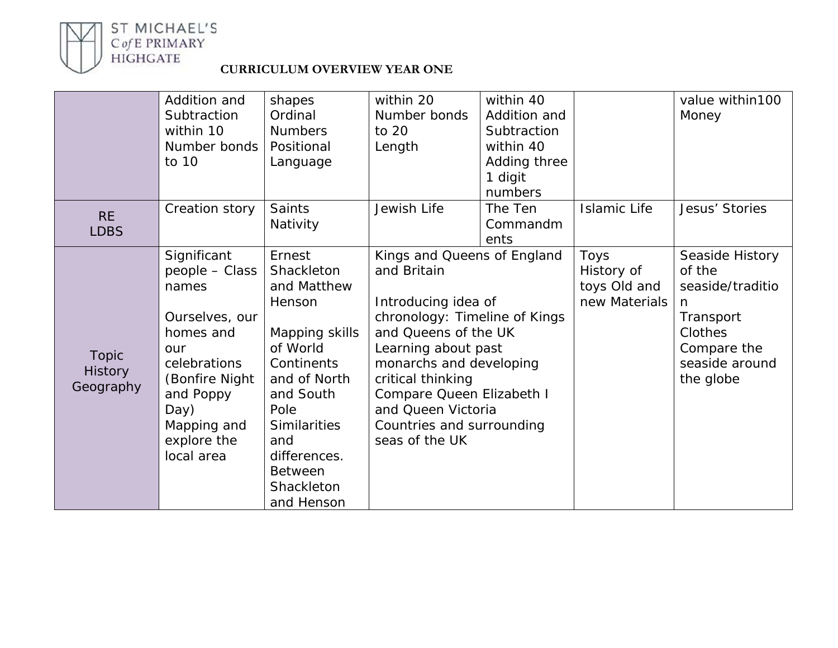

# ST MICHAEL'S<br>
C*of* E PRIMARY<br>
HIGHGATE<br> **CURRICULUM OVERVIEW YEAR ONE**

|                | Addition and   | shapes         | within 20                     | within 40    |               | value within100  |
|----------------|----------------|----------------|-------------------------------|--------------|---------------|------------------|
|                | Subtraction    | Ordinal        | Number bonds                  | Addition and |               | Money            |
|                | within 10      | <b>Numbers</b> | to 20                         | Subtraction  |               |                  |
|                | Number bonds   | Positional     | Length                        | within 40    |               |                  |
|                | to 10          | Language       |                               | Adding three |               |                  |
|                |                |                |                               | 1 digit      |               |                  |
|                |                |                |                               | numbers      |               |                  |
|                | Creation story | <b>Saints</b>  | Jewish Life                   | The Ten      | Islamic Life  | Jesus' Stories   |
| <b>RE</b>      |                | Nativity       |                               | Commandm     |               |                  |
| <b>LDBS</b>    |                |                |                               | ents         |               |                  |
|                | Significant    | Ernest         | Kings and Queens of England   |              | Toys          | Seaside History  |
|                | people - Class | Shackleton     | and Britain                   |              | History of    | of the           |
|                | names          | and Matthew    |                               |              | toys Old and  | seaside/traditio |
|                |                | Henson         | Introducing idea of           |              | new Materials | n                |
|                | Ourselves, our |                | chronology: Timeline of Kings |              |               | Transport        |
|                | homes and      | Mapping skills | and Queens of the UK          |              |               | Clothes          |
| <b>Topic</b>   | our            | of World       | Learning about past           |              |               | Compare the      |
| <b>History</b> | celebrations   | Continents     | monarchs and developing       |              |               | seaside around   |
| Geography      | (Bonfire Night | and of North   | critical thinking             |              |               | the globe        |
|                | and Poppy      | and South      | Compare Queen Elizabeth I     |              |               |                  |
|                | Day)           | Pole           | and Queen Victoria            |              |               |                  |
|                | Mapping and    | Similarities   | Countries and surrounding     |              |               |                  |
|                | explore the    | and            | seas of the UK                |              |               |                  |
|                | local area     | differences.   |                               |              |               |                  |
|                |                | <b>Between</b> |                               |              |               |                  |
|                |                | Shackleton     |                               |              |               |                  |
|                |                | and Henson     |                               |              |               |                  |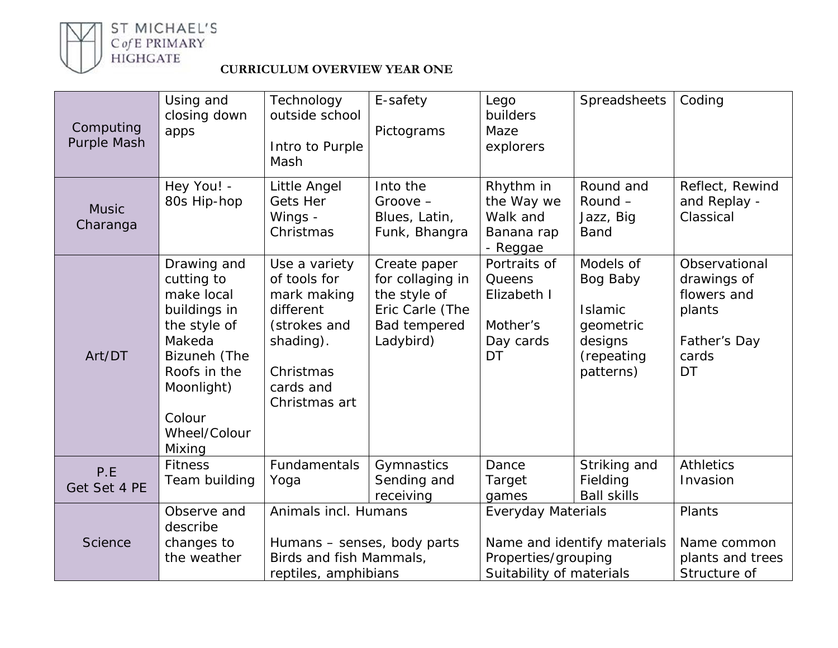

ST MICHAEL'S<br>
C*of* E PRIMARY<br>
HIGHGATE<br> **CURRICULUM OVERVIEW YEAR ONE** 

| Computing<br>Purple Mash | Using and<br>closing down<br>apps                                                                                                                                   | Technology<br>outside school<br>Intro to Purple<br>Mash                                                                           | E-safety<br>Pictograms                                                                           | Lego<br>builders<br>Maze<br>explorers                                                                       | Spreadsheets                                                                               | Coding                                                                               |
|--------------------------|---------------------------------------------------------------------------------------------------------------------------------------------------------------------|-----------------------------------------------------------------------------------------------------------------------------------|--------------------------------------------------------------------------------------------------|-------------------------------------------------------------------------------------------------------------|--------------------------------------------------------------------------------------------|--------------------------------------------------------------------------------------|
| <b>Music</b><br>Charanga | Hey You! -<br>80s Hip-hop                                                                                                                                           | Little Angel<br><b>Gets Her</b><br>Wings -<br>Christmas                                                                           | Into the<br>$Groove -$<br>Blues, Latin,<br>Funk, Bhangra                                         | Rhythm in<br>the Way we<br>Walk and<br>Banana rap<br>- Reggae                                               | Round and<br>Round -<br>Jazz, Big<br><b>Band</b>                                           | Reflect, Rewind<br>and Replay -<br>Classical                                         |
| Art/DT                   | Drawing and<br>cutting to<br>make local<br>buildings in<br>the style of<br>Makeda<br>Bizuneh (The<br>Roofs in the<br>Moonlight)<br>Colour<br>Wheel/Colour<br>Mixing | Use a variety<br>of tools for<br>mark making<br>different<br>(strokes and<br>shading).<br>Christmas<br>cards and<br>Christmas art | Create paper<br>for collaging in<br>the style of<br>Eric Carle (The<br>Bad tempered<br>Ladybird) | Portraits of<br>Queens<br>Elizabeth I<br>Mother's<br>Day cards<br>DT                                        | Models of<br>Bog Baby<br><b>Islamic</b><br>geometric<br>designs<br>(repeating<br>patterns) | Observational<br>drawings of<br>flowers and<br>plants<br>Father's Day<br>cards<br>DT |
| P.E<br>Get Set 4 PE      | <b>Fitness</b><br>Team building                                                                                                                                     | Fundamentals<br>Yoga                                                                                                              | Gymnastics<br>Sending and<br>receiving                                                           | Dance<br>Target<br>games                                                                                    | Striking and<br>Fielding<br><b>Ball skills</b>                                             | <b>Athletics</b><br>Invasion                                                         |
| <b>Science</b>           | Observe and<br>describe<br>changes to<br>the weather                                                                                                                | Animals incl. Humans<br>Humans - senses, body parts<br>Birds and fish Mammals,<br>reptiles, amphibians                            |                                                                                                  | <b>Everyday Materials</b><br>Name and identify materials<br>Properties/grouping<br>Suitability of materials |                                                                                            | Plants<br>Name common<br>plants and trees<br>Structure of                            |